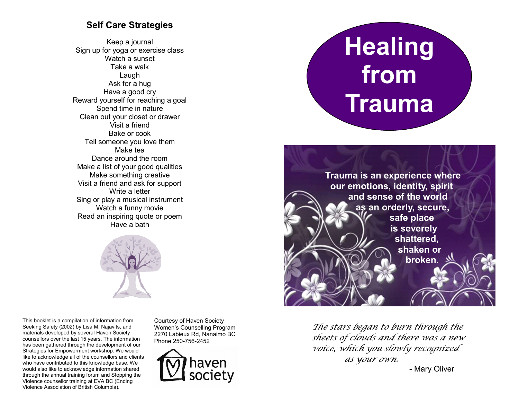# **Self Care Strategies**

Keep a journal Sign up for yoga or exercise class Watch a sunset Take a walk Laugh Ask for a hug Have a good cry Reward yourself for reaching a goal Spend time in nature Clean out your closet or drawer Visit a friend Bake or cook Tell someone you love them Make tea Dance around the room Make a list of your good qualities Make something creative Visit a friend and ask for support Write a letter Sing or play a musical instrument Watch a funny movie Read an inspiring quote or poem Have a bath



This booklet is a compilation of information from Seeking Safety (2002) by Lisa M. Najavits, and materials developed by several Haven Society counsellors over the last 15 years. The information has been gathered through the development of our Strategies for Empowerment workshop. We would like to acknowledge all of the counsellors and clients who have contributed to this knowledge base. We would also like to acknowledge information shared through the annual training forum and Stopping the Violence counsellor training at EVA BC (Ending Violence Association of British Columbia).

Courtesy of Haven Society Women's Counselling Program 2270 Labieux Rd, Nanaimo BC Phone 250-756-2452



# **Healing from Trauma**



*The stars began to burn through the sheets of clouds and there was a new voice, which you slowly recognized as your own.*

- Mary Oliver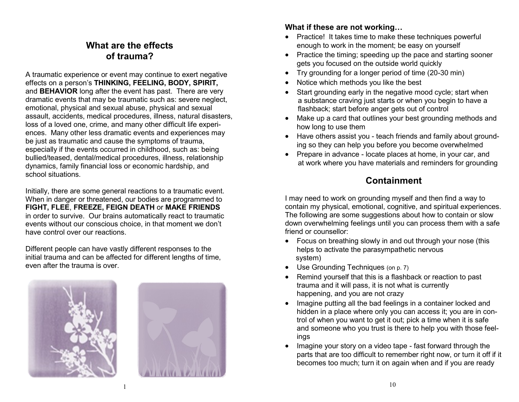## **What are the effects of trauma?**

A traumatic experience or event may continue to exert negative effects on a person's **THINKING, FEELING, BODY, SPIRIT,**  and **BEHAVIOR** long after the event has past. There are very dramatic events that may be traumatic such as: severe neglect, emotional, physical and sexual abuse, physical and sexual assault, accidents, medical procedures, illness, natural disasters, loss of a loved one, crime, and many other difficult life experiences. Many other less dramatic events and experiences may be just as traumatic and cause the symptoms of trauma, especially if the events occurred in childhood, such as: being bullied/teased, dental/medical procedures, illness, relationship dynamics, family financial loss or economic hardship, and school situations.

Initially, there are some general reactions to a traumatic event. When in danger or threatened, our bodies are programmed to **FIGHT, FLEE**, **FREEZE, FEIGN DEATH** or **MAKE FRIENDS** in order to survive. Our brains automatically react to traumatic events without our conscious choice, in that moment we don't have control over our reactions.

Different people can have vastly different responses to the initial trauma and can be affected for different lengths of time, even after the trauma is over.





#### **What if these are not working…**

- Practice! It takes time to make these techniques powerful enough to work in the moment; be easy on yourself
- Practice the timing; speeding up the pace and starting sooner gets you focused on the outside world quickly
- Try grounding for a longer period of time (20-30 min)
- Notice which methods you like the best
- Start grounding early in the negative mood cycle; start when a substance craving just starts or when you begin to have a flashback; start before anger gets out of control
- Make up a card that outlines your best grounding methods and how long to use them
- Have others assist you teach friends and family about grounding so they can help you before you become overwhelmed
- Prepare in advance locate places at home, in your car, and at work where you have materials and reminders for grounding

# **Containment**

I may need to work on grounding myself and then find a way to contain my physical, emotional, cognitive, and spiritual experiences. The following are some suggestions about how to contain or slow down overwhelming feelings until you can process them with a safe friend or counsellor:

- Focus on breathing slowly in and out through your nose (this helps to activate the parasympathetic nervous system)
- Use Grounding Techniques (on p. 7)
- Remind yourself that this is a flashback or reaction to past trauma and it will pass, it is not what is currently happening, and you are not crazy
- Imagine putting all the bad feelings in a container locked and hidden in a place where only you can access it; you are in control of when you want to get it out; pick a time when it is safe and someone who you trust is there to help you with those feelings
- Imagine your story on a video tape fast forward through the parts that are too difficult to remember right now, or turn it off if it becomes too much; turn it on again when and if you are ready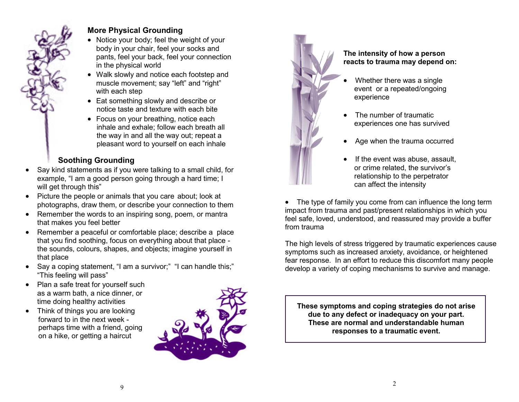#### **More Physical Grounding**

- Notice your body; feel the weight of your body in your chair, feel your socks and pants, feel your back, feel your connection in the physical world
- Walk slowly and notice each footstep and muscle movement; say "left" and "right" with each step
- Eat something slowly and describe or notice taste and texture with each bite
- Focus on your breathing, notice each inhale and exhale; follow each breath all the way in and all the way out; repeat a pleasant word to yourself on each inhale

# **Soothing Grounding**

- Say kind statements as if you were talking to a small child, for example, "I am a good person going through a hard time; I will get through this"
- Picture the people or animals that you care about; look at photographs, draw them, or describe your connection to them
- Remember the words to an inspiring song, poem, or mantra that makes you feel better
- Remember a peaceful or comfortable place; describe a place that you find soothing, focus on everything about that place the sounds, colours, shapes, and objects; imagine yourself in that place
- Say a coping statement, "I am a survivor;" "I can handle this;" "This feeling will pass"
- Plan a safe treat for yourself such as a warm bath, a nice dinner, or time doing healthy activities
- Think of things you are looking forward to in the next week perhaps time with a friend, going on a hike, or getting a haircut





#### **The intensity of how a person reacts to trauma may depend on:**

- Whether there was a single event or a repeated/ongoing experience
- The number of traumatic experiences one has survived
- Age when the trauma occurred
- If the event was abuse, assault, or crime related, the survivor's relationship to the perpetrator can affect the intensity

• The type of family you come from can influence the long term impact from trauma and past/present relationships in which you feel safe, loved, understood, and reassured may provide a buffer from trauma

The high levels of stress triggered by traumatic experiences cause symptoms such as increased anxiety, avoidance, or heightened fear response. In an effort to reduce this discomfort many people develop a variety of coping mechanisms to survive and manage.

**These symptoms and coping strategies do not arise due to any defect or inadequacy on your part. These are normal and understandable human responses to a traumatic event.**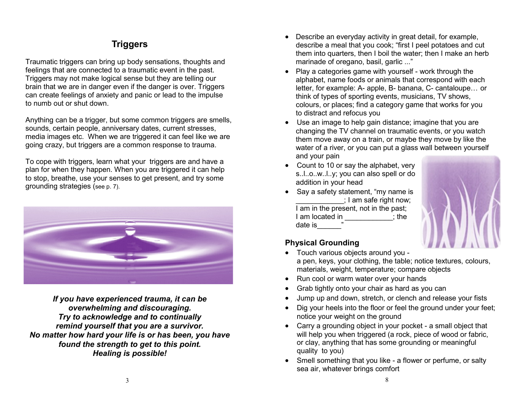# **Triggers**

Traumatic triggers can bring up body sensations, thoughts and feelings that are connected to a traumatic event in the past. Triggers may not make logical sense but they are telling our brain that we are in danger even if the danger is over. Triggers can create feelings of anxiety and panic or lead to the impulse to numb out or shut down.

Anything can be a trigger, but some common triggers are smells, sounds, certain people, anniversary dates, current stresses, media images etc. When we are triggered it can feel like we are going crazy, but triggers are a common response to trauma.

To cope with triggers, learn what your triggers are and have a plan for when they happen. When you are triggered it can help to stop, breathe, use your senses to get present, and try some grounding strategies (see p. 7).



*If you have experienced trauma, it can be overwhelming and discouraging. Try to acknowledge and to continually remind yourself that you are a survivor. No matter how hard your life is or has been, you have found the strength to get to this point. Healing is possible!* 

- Describe an everyday activity in great detail, for example, describe a meal that you cook; "first I peel potatoes and cut them into quarters, then I boil the water; then I make an herb marinade of oregano, basil, garlic ..."
- Play a categories game with yourself work through the alphabet, name foods or animals that correspond with each letter, for example: A- apple, B- banana, C- cantaloupe… or think of types of sporting events, musicians, TV shows, colours, or places; find a category game that works for you to distract and refocus you
- Use an image to help gain distance; imagine that you are changing the TV channel on traumatic events, or you watch them move away on a train, or maybe they move by like the water of a river, or you can put a glass wall between yourself and your pain
- Count to 10 or say the alphabet, very s..l..o..w..l..y; you can also spell or do addition in your head
- Say a safety statement, "my name is ; I am safe right now; I am in the present, not in the past; I am located in the state is the state of the state of the state of the state of the state of the state of the date is



## **Physical Grounding**

- Touch various objects around you a pen, keys, your clothing, the table; notice textures, colours, materials, weight, temperature; compare objects
- Run cool or warm water over your hands
- Grab tightly onto your chair as hard as you can
- Jump up and down, stretch, or clench and release your fists
- Dig your heels into the floor or feel the ground under your feet; notice your weight on the ground
- Carry a grounding object in your pocket a small object that will help you when triggered (a rock, piece of wood or fabric, or clay, anything that has some grounding or meaningful quality to you)
- Smell something that you like a flower or perfume, or salty sea air, whatever brings comfort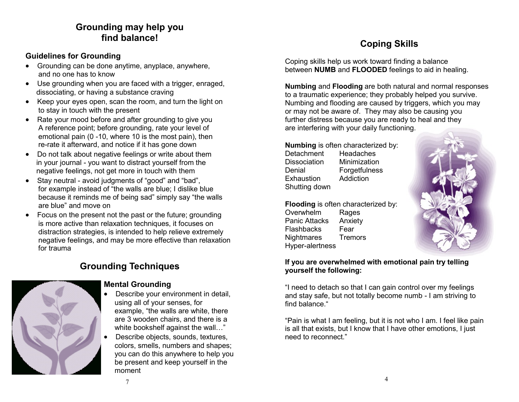## **Grounding may help you find balance!**

#### **Guidelines for Grounding**

- Grounding can be done anytime, anyplace, anywhere, and no one has to know
- Use grounding when you are faced with a trigger, enraged, dissociating, or having a substance craving
- Keep your eyes open, scan the room, and turn the light on to stay in touch with the present
- Rate your mood before and after grounding to give you A reference point; before grounding, rate your level of emotional pain (0 -10, where 10 is the most pain), then re-rate it afterward, and notice if it has gone down
- Do not talk about negative feelings or write about them in your journal - you want to distract yourself from the negative feelings, not get more in touch with them
- Stay neutral avoid judgments of "good" and "bad", for example instead of "the walls are blue; I dislike blue because it reminds me of being sad" simply say "the walls are blue" and move on
- Focus on the present not the past or the future; grounding is more active than relaxation techniques, it focuses on distraction strategies, is intended to help relieve extremely negative feelings, and may be more effective than relaxation for trauma

## **Grounding Techniques**



#### **Mental Grounding**

- Describe your environment in detail, using all of your senses, for example, "the walls are white, there are 3 wooden chairs, and there is a white bookshelf against the wall..."
- Describe objects, sounds, textures, colors, smells, numbers and shapes; you can do this anywhere to help you be present and keep yourself in the moment

# **Coping Skills**

Coping skills help us work toward finding a balance between **NUMB** and **FLOODED** feelings to aid in healing.

**Numbing** and **Flooding** are both natural and normal responses to a traumatic experience; they probably helped you survive. Numbing and flooding are caused by triggers, which you may or may not be aware of. They may also be causing you further distress because you are ready to heal and they are interfering with your daily functioning.

**Numbing** is often characterized by:

Detachment Headaches Dissociation Minimization Denial Forgetfulness Exhaustion Addiction Shutting down

**Flooding** is often characterized by: Overwhelm Rages Panic Attacks Anxiety Flashbacks Fear Nightmares Tremors Hyper-alertness



#### **If you are overwhelmed with emotional pain try telling yourself the following:**

"I need to detach so that I can gain control over my feelings and stay safe, but not totally become numb - I am striving to find balance."

"Pain is what I am feeling, but it is not who I am. I feel like pain is all that exists, but I know that I have other emotions, I just need to reconnect."